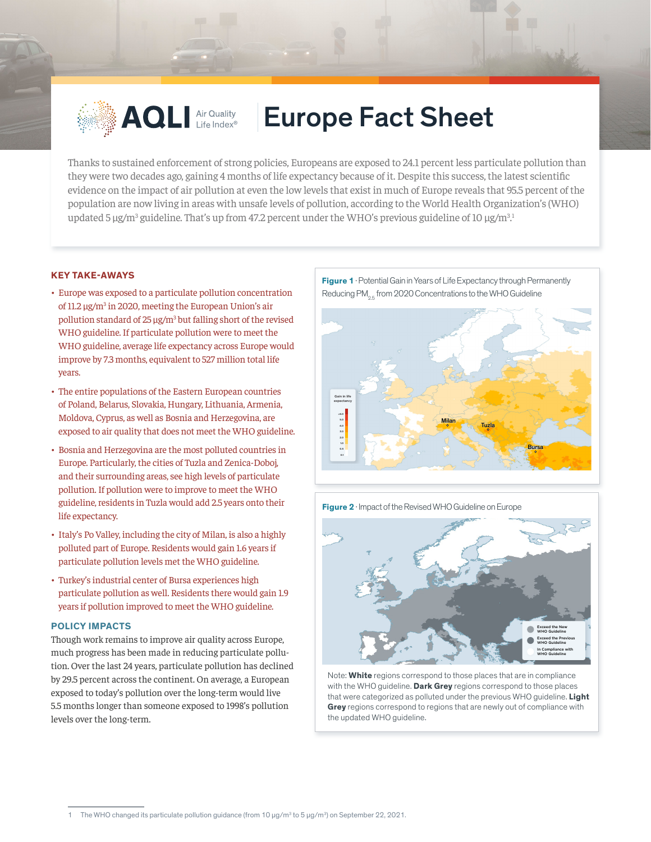

## **AQLI** Air Quality | Europe Fact Sheet

Thanks to sustained enforcement of strong policies, Europeans are exposed to 24.1 percent less particulate pollution than they were two decades ago, gaining 4 months of life expectancy because of it. Despite this success, the latest scientific evidence on the impact of air pollution at even the low levels that exist in much of Europe reveals that 95.5 percent of the population are now living in areas with unsafe levels of pollution, according to the World Health Organization's (WHO) updated 5  $\mu$ g/m<sup>3</sup> guideline. That's up from 47.2 percent under the WHO's previous guideline of 10  $\mu$ g/m<sup>3.1</sup> .

## **KEY TAKE-AWAYS**

- Europe was exposed to a particulate pollution concentration of 11.2 µg/m<sup>3</sup> in 2020, meeting the European Union's air pollution standard of  $25 \mu g/m^3$  but falling short of the revised WHO guideline. If particulate pollution were to meet the WHO guideline, average life expectancy across Europe would improve by 7.3 months, equivalent to 527 million total life years.
- The entire populations of the Eastern European countries of Poland, Belarus, Slovakia, Hungary, Lithuania, Armenia, Moldova, Cyprus, as well as Bosnia and Herzegovina, are exposed to air quality that does not meet the WHO guideline.
- Bosnia and Herzegovina are the most polluted countries in Europe. Particularly, the cities of Tuzla and Zenica-Doboj, and their surrounding areas, see high levels of particulate pollution. If pollution were to improve to meet the WHO guideline, residents in Tuzla would add 2.5 years onto their life expectancy.
- Italy's Po Valley, including the city of Milan, is also a highly polluted part of Europe. Residents would gain 1.6 years if particulate pollution levels met the WHO guideline.
- Turkey's industrial center of Bursa experiences high particulate pollution as well. Residents there would gain 1.9 years if pollution improved to meet the WHO guideline.

## **POLICY IMPACTS**

Though work remains to improve air quality across Europe, much progress has been made in reducing particulate pollution. Over the last 24 years, particulate pollution has declined by 29.5 percent across the continent. On average, a European exposed to today's pollution over the long-term would live 5.5 months longer than someone exposed to 1998's pollution levels over the long-term.



**Figure 1** · Potential Gain in Years of Life Expectancy through Permanently

**Figure 2** · Impact of the Revised WHO Guideline on Europe



Note: **White** regions correspond to those places that are in compliance with the WHO guideline. **Dark Grey** regions correspond to those places that were categorized as polluted under the previous WHO guideline. **Light Grey** regions correspond to regions that are newly out of compliance with the updated WHO guideline.

<sup>1</sup> The WHO changed its particulate pollution guidance (from  $10 \mu g/m^3$  to 5  $\mu g/m^3$ ) on September 22, 2021.